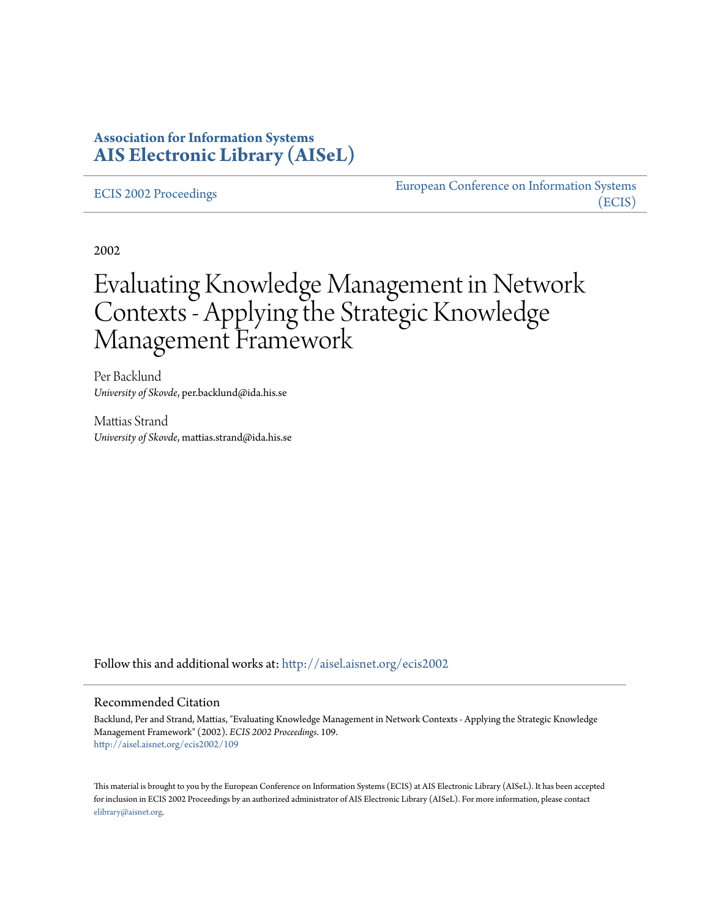# **Association for Information Systems [AIS Electronic Library \(AISeL\)](http://aisel.aisnet.org?utm_source=aisel.aisnet.org%2Fecis2002%2F109&utm_medium=PDF&utm_campaign=PDFCoverPages)**

#### [ECIS 2002 Proceedings](http://aisel.aisnet.org/ecis2002?utm_source=aisel.aisnet.org%2Fecis2002%2F109&utm_medium=PDF&utm_campaign=PDFCoverPages)

[European Conference on Information Systems](http://aisel.aisnet.org/ecis?utm_source=aisel.aisnet.org%2Fecis2002%2F109&utm_medium=PDF&utm_campaign=PDFCoverPages) [\(ECIS\)](http://aisel.aisnet.org/ecis?utm_source=aisel.aisnet.org%2Fecis2002%2F109&utm_medium=PDF&utm_campaign=PDFCoverPages)

2002

# Evaluating Knowledge Management in Network Contexts - Applying the Strategic Knowledge Management Framework

Per Backlund *University of Skovde*, per.backlund@ida.his.se

Mattias Strand *University of Skovde*, mattias.strand@ida.his.se

Follow this and additional works at: [http://aisel.aisnet.org/ecis2002](http://aisel.aisnet.org/ecis2002?utm_source=aisel.aisnet.org%2Fecis2002%2F109&utm_medium=PDF&utm_campaign=PDFCoverPages)

#### Recommended Citation

Backlund, Per and Strand, Mattias, "Evaluating Knowledge Management in Network Contexts - Applying the Strategic Knowledge Management Framework" (2002). *ECIS 2002 Proceedings*. 109. [http://aisel.aisnet.org/ecis2002/109](http://aisel.aisnet.org/ecis2002/109?utm_source=aisel.aisnet.org%2Fecis2002%2F109&utm_medium=PDF&utm_campaign=PDFCoverPages)

This material is brought to you by the European Conference on Information Systems (ECIS) at AIS Electronic Library (AISeL). It has been accepted for inclusion in ECIS 2002 Proceedings by an authorized administrator of AIS Electronic Library (AISeL). For more information, please contact [elibrary@aisnet.org.](mailto:elibrary@aisnet.org%3E)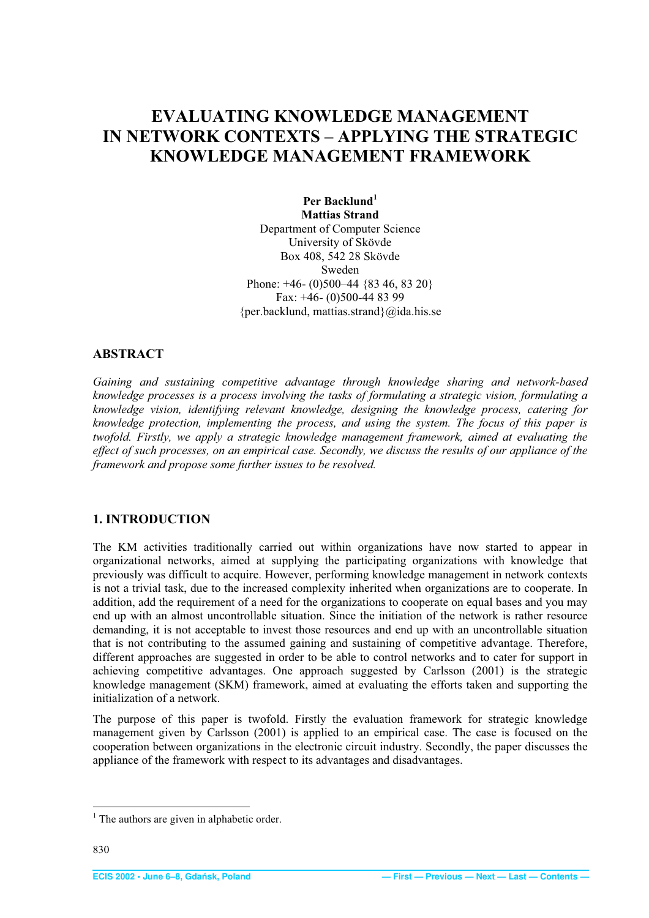# <span id="page-1-0"></span>**EVALUATING KNOWLEDGE MANAGEMENT IN NETWORK CONTEXTS – APPLYING THE STRATEGIC KNOWLEDGE MANAGEMENT FRAMEWORK**

Per Backlund<sup>1</sup> **Mattias Strand**  Department of Computer Science University of Skövde Box 408, 542 28 Skövde Sweden Phone: +46- (0)500-44 {83 46, 83 20} Fax: +46- (0)500-44 83 99 {per.backlund, mattias.strand}@ida.his.se

#### **ABSTRACT**

*Gaining and sustaining competitive advantage through knowledge sharing and network-based knowledge processes is a process involving the tasks of formulating a strategic vision, formulating a knowledge vision, identifying relevant knowledge, designing the knowledge process, catering for knowledge protection, implementing the process, and using the system. The focus of this paper is twofold. Firstly, we apply a strategic knowledge management framework, aimed at evaluating the effect of such processes, on an empirical case. Secondly, we discuss the results of our appliance of the framework and propose some further issues to be resolved.* 

### **1. INTRODUCTION**

The KM activities traditionally carried out within organizations have now started to appear in organizational networks, aimed at supplying the participating organizations with knowledge that previously was difficult to acquire. However, performing knowledge management in network contexts is not a trivial task, due to the increased complexity inherited when organizations are to cooperate. In addition, add the requirement of a need for the organizations to cooperate on equal bases and you may end up with an almost uncontrollable situation. Since the initiation of the network is rather resource demanding, it is not acceptable to invest those resources and end up with an uncontrollable situation that is not contributing to the assumed gaining and sustaining of competitive advantage. Therefore, different approaches are suggested in order to be able to control networks and to cater for support in achieving competitive advantages. One approach suggested by Carlsson (2001) is the strategic knowledge management (SKM) framework, aimed at evaluating the efforts taken and supporting the initialization of a network.

The purpose of this paper is twofold. Firstly the evaluation framework for strategic knowledge management given by Carlsson (2001) is applied to an empirical case. The case is focused on the cooperation between organizations in the electronic circuit industry. Secondly, the paper discusses the appliance of the framework with respect to its advantages and disadvantages.

<sup>&</sup>lt;sup>1</sup> The authors are given in alphabetic order.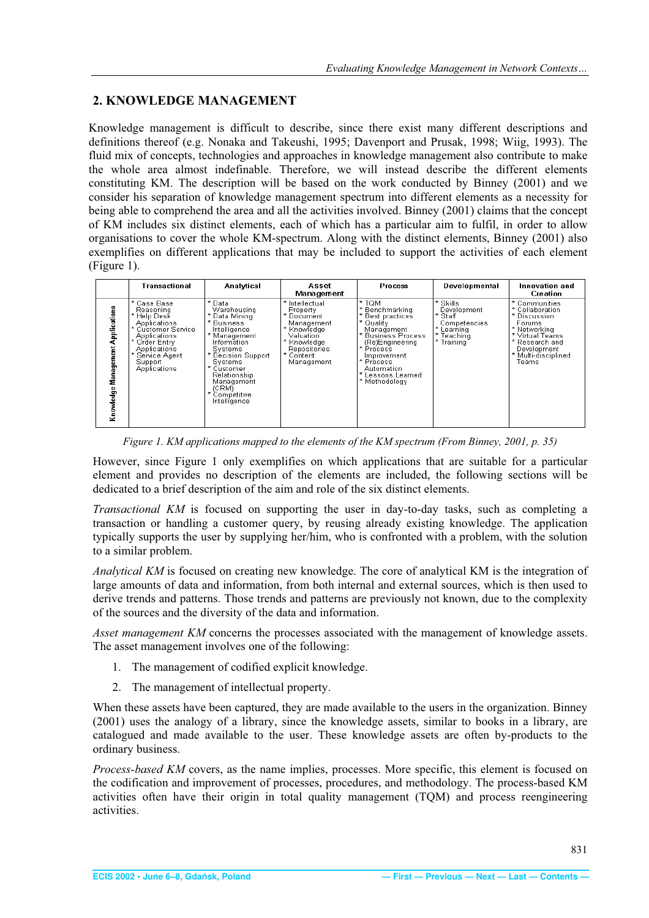## <span id="page-2-0"></span>**2. KNOWLEDGE MANAGEMENT**

Knowledge management is difficult to describe, since there exist many different descriptions and definitions thereof (e.g. Nonaka and Takeushi, 1995; Davenport and Prusak, 1998; Wiig, 1993). The fluid mix of concepts, technologies and approaches in knowledge management also contribute to make the whole area almost indefinable. Therefore, we will instead describe the different elements constituting KM. The description will be based on the work conducted by Binney (2001) and we consider his separation of knowledge management spectrum into different elements as a necessity for being able to comprehend the area and all the activities involved. Binney (2001) claims that the concept of KM includes six distinct elements, each of which has a particular aim to fulfil, in order to allow organisations to cover the whole KM-spectrum. Along with the distinct elements, Binney (2001) also exemplifies on different applications that may be included to support the activities of each element (Figure 1).

|                                      | Transactional                                                                                                                                                          | Analytical                                                                                                                                                                                                                                     | Asset<br>Management                                                                                                                          | <b>Process</b>                                                                                                                                                                                                       | Developmental                                                                                   | Innovation and<br><b>Creation</b>                                                                                                                              |
|--------------------------------------|------------------------------------------------------------------------------------------------------------------------------------------------------------------------|------------------------------------------------------------------------------------------------------------------------------------------------------------------------------------------------------------------------------------------------|----------------------------------------------------------------------------------------------------------------------------------------------|----------------------------------------------------------------------------------------------------------------------------------------------------------------------------------------------------------------------|-------------------------------------------------------------------------------------------------|----------------------------------------------------------------------------------------------------------------------------------------------------------------|
| Management Applications<br>Knowledge | * Case Base<br>Reasoning<br>* Help Desk<br>Applications<br>Customer Service<br>Applications<br>Order Entry<br>Applications<br>Service Agent<br>Support<br>Applications | * Data<br>Warehousing<br>* Data Mining<br>* Business<br>Intelligence<br>* Management<br>Information<br>Systems<br>* Decision Support<br>Systems<br>* Customer<br>Relationship<br>Management<br>(CRM)<br>$\star$<br>Competitive<br>Intelligence | * Intellectual<br>Property<br>* Document<br>Management<br>* Knowledge<br>Valuation<br>* Knowledge<br>Repositories<br>* Content<br>Management | * TOM<br>* Benchmarking<br>* Best practices<br>* Quality<br>Management<br>* Business Process<br>(Re)Engineering<br>* Process<br>Improvement<br>* Process<br>Automation<br>$\star$<br>essons Learned<br>* Methodology | * Skills<br>Development<br>* Staff<br>Competencies<br>*<br>Learning<br>* Teaching<br>* Training | * Communities<br>* Collaboration<br>* Discussion<br>Forums<br>* Networking<br>* Virtual Teams<br>* Research and<br>Development<br>* Multi-disciplined<br>Teams |

*Figure 1. KM applications mapped to the elements of the KM spectrum (From Binney, 2001, p. 35)* 

However, since Figure 1 only exemplifies on which applications that are suitable for a particular element and provides no description of the elements are included, the following sections will be dedicated to a brief description of the aim and role of the six distinct elements.

*Transactional KM* is focused on supporting the user in day-to-day tasks, such as completing a transaction or handling a customer query, by reusing already existing knowledge. The application typically supports the user by supplying her/him, who is confronted with a problem, with the solution to a similar problem.

*Analytical KM* is focused on creating new knowledge. The core of analytical KM is the integration of large amounts of data and information, from both internal and external sources, which is then used to derive trends and patterns. Those trends and patterns are previously not known, due to the complexity of the sources and the diversity of the data and information.

*Asset management KM* concerns the processes associated with the management of knowledge assets. The asset management involves one of the following:

- 1. The management of codified explicit knowledge.
- 2. The management of intellectual property.

When these assets have been captured, they are made available to the users in the organization. Binney (2001) uses the analogy of a library, since the knowledge assets, similar to books in a library, are catalogued and made available to the user. These knowledge assets are often by-products to the ordinary business.

*Process-based KM* covers, as the name implies, processes. More specific, this element is focused on the codification and improvement of processes, procedures, and methodology. The process-based KM activities often have their origin in total quality management (TQM) and process reengineering activities.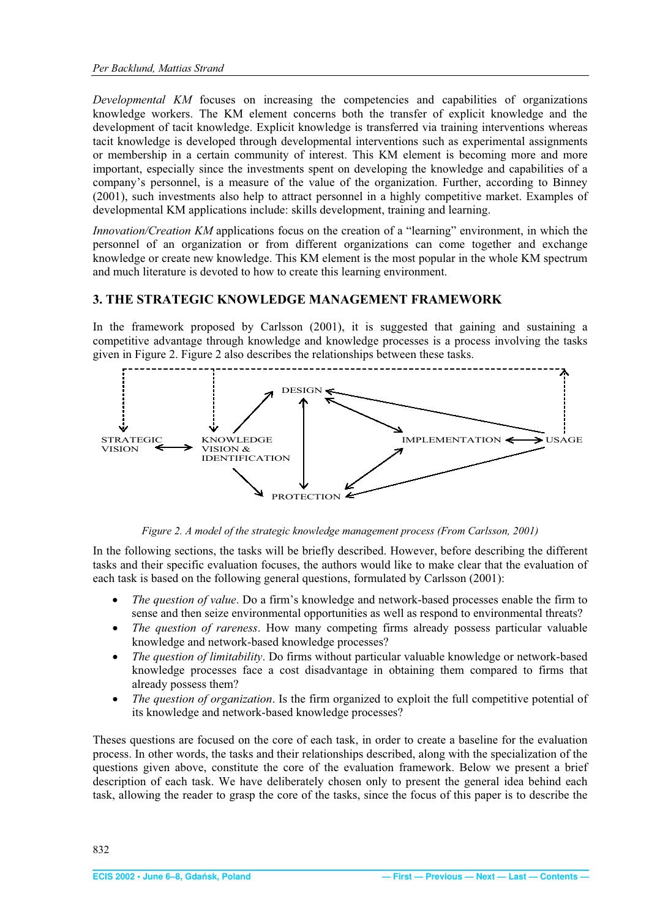<span id="page-3-0"></span>*Developmental KM* focuses on increasing the competencies and capabilities of organizations knowledge workers. The KM element concerns both the transfer of explicit knowledge and the development of tacit knowledge. Explicit knowledge is transferred via training interventions whereas tacit knowledge is developed through developmental interventions such as experimental assignments or membership in a certain community of interest. This KM element is becoming more and more important, especially since the investments spent on developing the knowledge and capabilities of a company's personnel, is a measure of the value of the organization. Further, according to Binney (2001), such investments also help to attract personnel in a highly competitive market. Examples of developmental KM applications include: skills development, training and learning.

*Innovation/Creation KM* applications focus on the creation of a "learning" environment, in which the personnel of an organization or from different organizations can come together and exchange knowledge or create new knowledge. This KM element is the most popular in the whole KM spectrum and much literature is devoted to how to create this learning environment.

## **3. THE STRATEGIC KNOWLEDGE MANAGEMENT FRAMEWORK**

In the framework proposed by Carlsson (2001), it is suggested that gaining and sustaining a competitive advantage through knowledge and knowledge processes is a process involving the tasks given in Figure 2. Figure 2 also describes the relationships between these tasks.



*Figure 2. A model of the strategic knowledge management process (From Carlsson, 2001)* 

In the following sections, the tasks will be briefly described. However, before describing the different tasks and their specific evaluation focuses, the authors would like to make clear that the evaluation of each task is based on the following general questions, formulated by Carlsson (2001):

- x *The question of value*. Do a firm's knowledge and network-based processes enable the firm to sense and then seize environmental opportunities as well as respond to environmental threats?
- x *The question of rareness*. How many competing firms already possess particular valuable knowledge and network-based knowledge processes?
- *The question of limitability*. Do firms without particular valuable knowledge or network-based knowledge processes face a cost disadvantage in obtaining them compared to firms that already possess them?
- *The question of organization*. Is the firm organized to exploit the full competitive potential of its knowledge and network-based knowledge processes?

Theses questions are focused on the core of each task, in order to create a baseline for the evaluation process. In other words, the tasks and their relationships described, along with the specialization of the questions given above, constitute the core of the evaluation framework. Below we present a brief description of each task. We have deliberately chosen only to present the general idea behind each task, allowing the reader to grasp the core of the tasks, since the focus of this paper is to describe the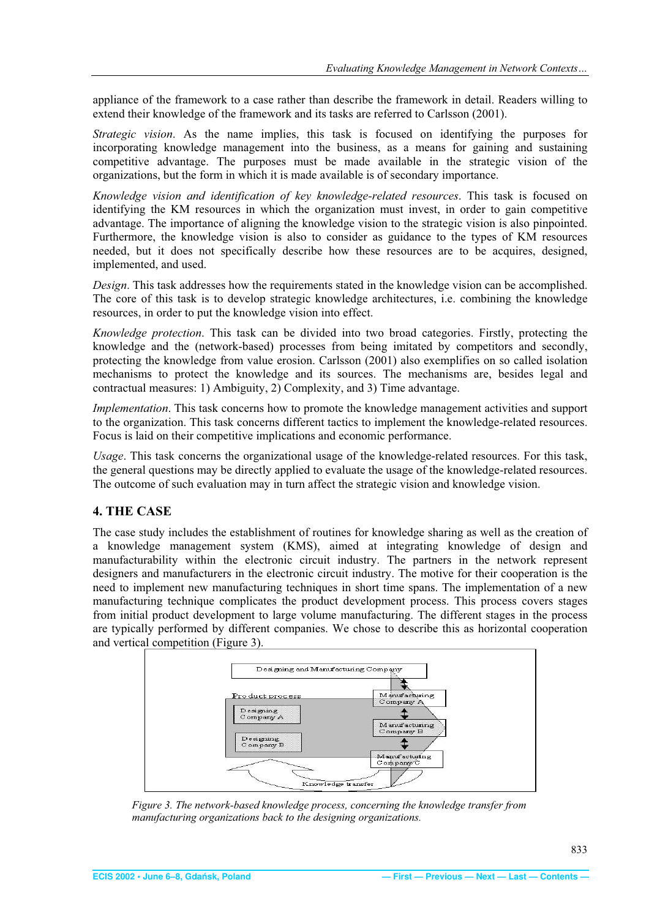<span id="page-4-0"></span>appliance of the framework to a case rather than describe the framework in detail. Readers willing to extend their knowledge of the framework and its tasks are referred to Carlsson (2001).

*Strategic vision*. As the name implies, this task is focused on identifying the purposes for incorporating knowledge management into the business, as a means for gaining and sustaining competitive advantage. The purposes must be made available in the strategic vision of the organizations, but the form in which it is made available is of secondary importance.

*Knowledge vision and identification of key knowledge-related resources*. This task is focused on identifying the KM resources in which the organization must invest, in order to gain competitive advantage. The importance of aligning the knowledge vision to the strategic vision is also pinpointed. Furthermore, the knowledge vision is also to consider as guidance to the types of KM resources needed, but it does not specifically describe how these resources are to be acquires, designed, implemented, and used.

*Design*. This task addresses how the requirements stated in the knowledge vision can be accomplished. The core of this task is to develop strategic knowledge architectures, i.e. combining the knowledge resources, in order to put the knowledge vision into effect.

*Knowledge protection*. This task can be divided into two broad categories. Firstly, protecting the knowledge and the (network-based) processes from being imitated by competitors and secondly, protecting the knowledge from value erosion. Carlsson (2001) also exemplifies on so called isolation mechanisms to protect the knowledge and its sources. The mechanisms are, besides legal and contractual measures: 1) Ambiguity, 2) Complexity, and 3) Time advantage.

*Implementation*. This task concerns how to promote the knowledge management activities and support to the organization. This task concerns different tactics to implement the knowledge-related resources. Focus is laid on their competitive implications and economic performance.

*Usage*. This task concerns the organizational usage of the knowledge-related resources. For this task, the general questions may be directly applied to evaluate the usage of the knowledge-related resources. The outcome of such evaluation may in turn affect the strategic vision and knowledge vision.

#### **4. THE CASE**

The case study includes the establishment of routines for knowledge sharing as well as the creation of a knowledge management system (KMS), aimed at integrating knowledge of design and manufacturability within the electronic circuit industry. The partners in the network represent designers and manufacturers in the electronic circuit industry. The motive for their cooperation is the need to implement new manufacturing techniques in short time spans. The implementation of a new manufacturing technique complicates the product development process. This process covers stages from initial product development to large volume manufacturing. The different stages in the process are typically performed by different companies. We chose to describe this as horizontal cooperation and vertical competition (Figure 3).



*Figure 3. The network-based knowledge process, concerning the knowledge transfer from manufacturing organizations back to the designing organizations.*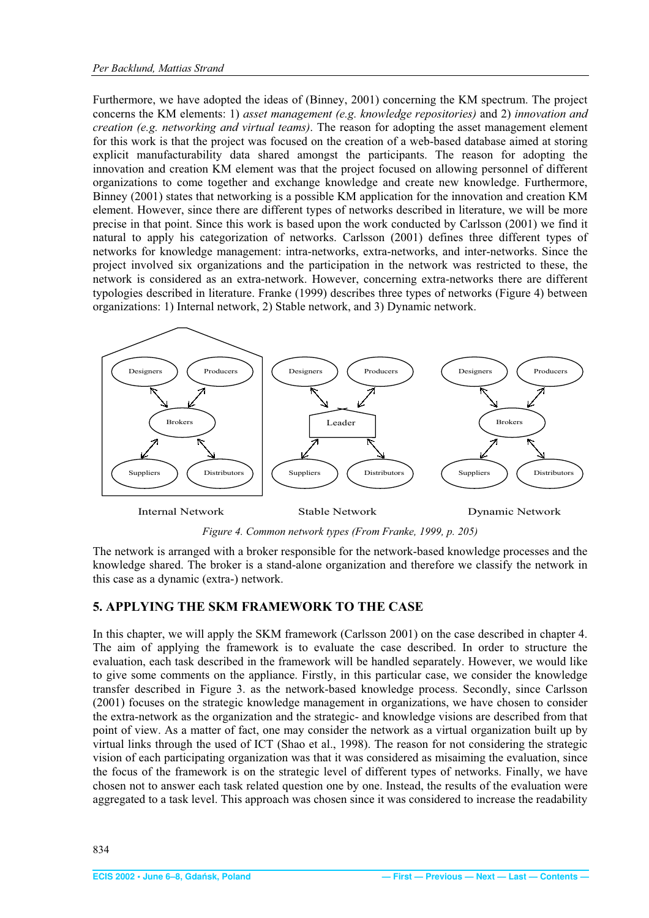<span id="page-5-0"></span>Furthermore, we have adopted the ideas of (Binney, 2001) concerning the KM spectrum. The project concerns the KM elements: 1) *asset management (e.g. knowledge repositories)* and 2) *innovation and creation (e.g. networking and virtual teams)*. The reason for adopting the asset management element for this work is that the project was focused on the creation of a web-based database aimed at storing explicit manufacturability data shared amongst the participants. The reason for adopting the innovation and creation KM element was that the project focused on allowing personnel of different organizations to come together and exchange knowledge and create new knowledge. Furthermore, Binney (2001) states that networking is a possible KM application for the innovation and creation KM element. However, since there are different types of networks described in literature, we will be more precise in that point. Since this work is based upon the work conducted by Carlsson (2001) we find it natural to apply his categorization of networks. Carlsson (2001) defines three different types of networks for knowledge management: intra-networks, extra-networks, and inter-networks. Since the project involved six organizations and the participation in the network was restricted to these, the network is considered as an extra-network. However, concerning extra-networks there are different typologies described in literature. Franke (1999) describes three types of networks (Figure 4) between organizations: 1) Internal network, 2) Stable network, and 3) Dynamic network.



*Figure 4. Common network types (From Franke, 1999, p. 205)* 

The network is arranged with a broker responsible for the network-based knowledge processes and the knowledge shared. The broker is a stand-alone organization and therefore we classify the network in this case as a dynamic (extra-) network.

#### **5. APPLYING THE SKM FRAMEWORK TO THE CASE**

In this chapter, we will apply the SKM framework (Carlsson 2001) on the case described in chapter 4. The aim of applying the framework is to evaluate the case described. In order to structure the evaluation, each task described in the framework will be handled separately. However, we would like to give some comments on the appliance. Firstly, in this particular case, we consider the knowledge transfer described in Figure 3. as the network-based knowledge process. Secondly, since Carlsson (2001) focuses on the strategic knowledge management in organizations, we have chosen to consider the extra-network as the organization and the strategic- and knowledge visions are described from that point of view. As a matter of fact, one may consider the network as a virtual organization built up by virtual links through the used of ICT (Shao et al., 1998). The reason for not considering the strategic vision of each participating organization was that it was considered as misaiming the evaluation, since the focus of the framework is on the strategic level of different types of networks. Finally, we have chosen not to answer each task related question one by one. Instead, the results of the evaluation were aggregated to a task level. This approach was chosen since it was considered to increase the readability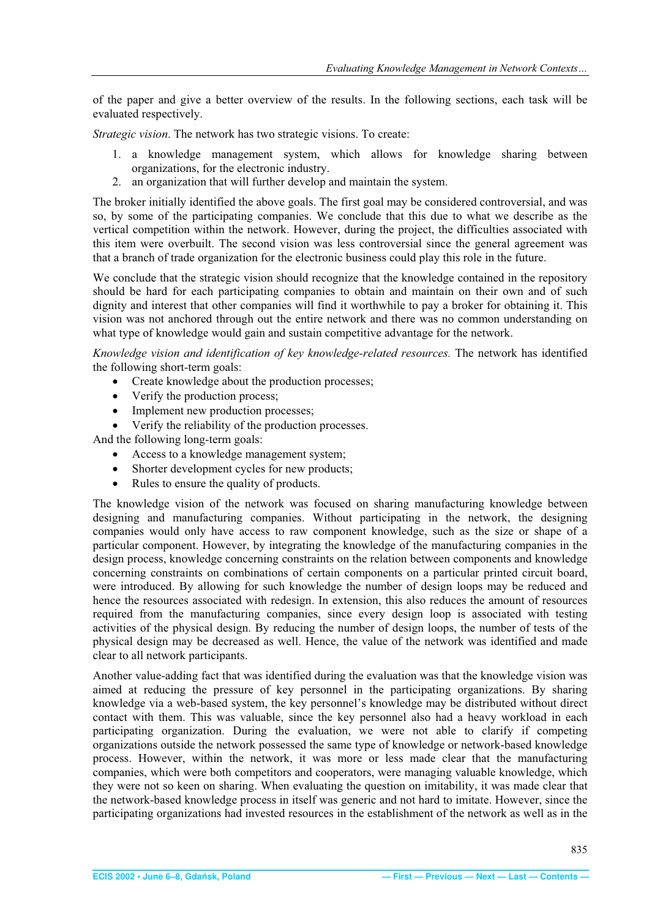<span id="page-6-0"></span>of the paper and give a better overview of the results. In the following sections, each task will be evaluated respectively.

*Strategic vision*. The network has two strategic visions. To create:

- 1. a knowledge management system, which allows for knowledge sharing between organizations, for the electronic industry.
- 2. an organization that will further develop and maintain the system.

The broker initially identified the above goals. The first goal may be considered controversial, and was so, by some of the participating companies. We conclude that this due to what we describe as the vertical competition within the network. However, during the project, the difficulties associated with this item were overbuilt. The second vision was less controversial since the general agreement was that a branch of trade organization for the electronic business could play this role in the future.

We conclude that the strategic vision should recognize that the knowledge contained in the repository should be hard for each participating companies to obtain and maintain on their own and of such dignity and interest that other companies will find it worthwhile to pay a broker for obtaining it. This vision was not anchored through out the entire network and there was no common understanding on what type of knowledge would gain and sustain competitive advantage for the network.

*Knowledge vision and identification of key knowledge-related resources.* The network has identified the following short-term goals:

- Create knowledge about the production processes;
- Verify the production process;
- Implement new production processes;
- x Verify the reliability of the production processes.

And the following long-term goals:

- Access to a knowledge management system;
- Shorter development cycles for new products;
- Rules to ensure the quality of products.

The knowledge vision of the network was focused on sharing manufacturing knowledge between designing and manufacturing companies. Without participating in the network, the designing companies would only have access to raw component knowledge, such as the size or shape of a particular component. However, by integrating the knowledge of the manufacturing companies in the design process, knowledge concerning constraints on the relation between components and knowledge concerning constraints on combinations of certain components on a particular printed circuit board, were introduced. By allowing for such knowledge the number of design loops may be reduced and hence the resources associated with redesign. In extension, this also reduces the amount of resources required from the manufacturing companies, since every design loop is associated with testing activities of the physical design. By reducing the number of design loops, the number of tests of the physical design may be decreased as well. Hence, the value of the network was identified and made clear to all network participants.

Another value-adding fact that was identified during the evaluation was that the knowledge vision was aimed at reducing the pressure of key personnel in the participating organizations. By sharing knowledge via a web-based system, the key personnel's knowledge may be distributed without direct contact with them. This was valuable, since the key personnel also had a heavy workload in each participating organization. During the evaluation, we were not able to clarify if competing organizations outside the network possessed the same type of knowledge or network-based knowledge process. However, within the network, it was more or less made clear that the manufacturing companies, which were both competitors and cooperators, were managing valuable knowledge, which they were not so keen on sharing. When evaluating the question on imitability, it was made clear that the network-based knowledge process in itself was generic and not hard to imitate. However, since the participating organizations had invested resources in the establishment of the network as well as in the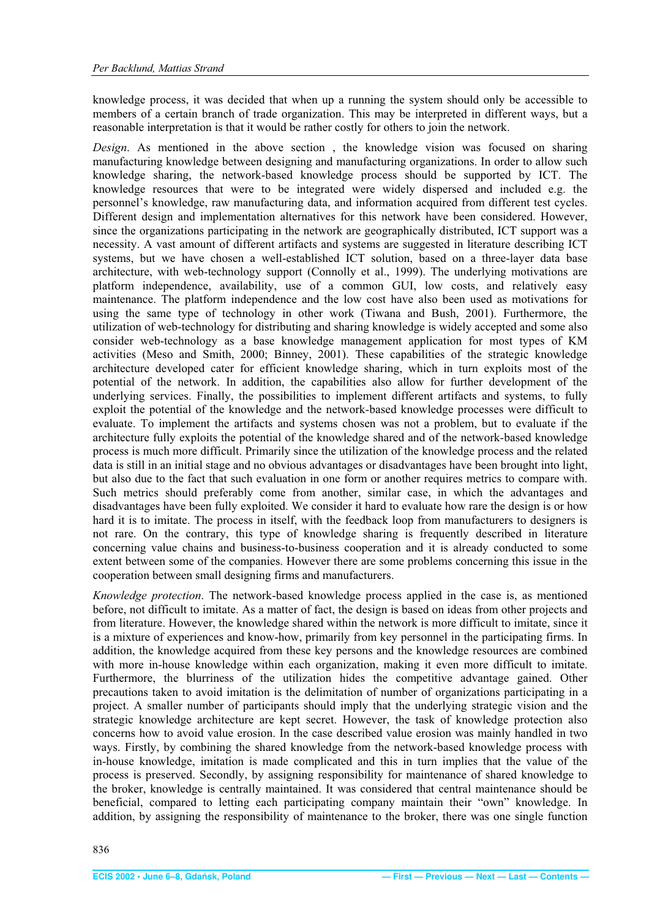<span id="page-7-0"></span>knowledge process, it was decided that when up a running the system should only be accessible to members of a certain branch of trade organization. This may be interpreted in different ways, but a reasonable interpretation is that it would be rather costly for others to join the network.

*Design*. As mentioned in the above section , the knowledge vision was focused on sharing manufacturing knowledge between designing and manufacturing organizations. In order to allow such knowledge sharing, the network-based knowledge process should be supported by ICT. The knowledge resources that were to be integrated were widely dispersed and included e.g. the personnel's knowledge, raw manufacturing data, and information acquired from different test cycles. Different design and implementation alternatives for this network have been considered. However, since the organizations participating in the network are geographically distributed, ICT support was a necessity. A vast amount of different artifacts and systems are suggested in literature describing ICT systems, but we have chosen a well-established ICT solution, based on a three-layer data base architecture, with web-technology support (Connolly et al., 1999). The underlying motivations are platform independence, availability, use of a common GUI, low costs, and relatively easy maintenance. The platform independence and the low cost have also been used as motivations for using the same type of technology in other work (Tiwana and Bush, 2001). Furthermore, the utilization of web-technology for distributing and sharing knowledge is widely accepted and some also consider web-technology as a base knowledge management application for most types of KM activities (Meso and Smith, 2000; Binney, 2001). These capabilities of the strategic knowledge architecture developed cater for efficient knowledge sharing, which in turn exploits most of the potential of the network. In addition, the capabilities also allow for further development of the underlying services. Finally, the possibilities to implement different artifacts and systems, to fully exploit the potential of the knowledge and the network-based knowledge processes were difficult to evaluate. To implement the artifacts and systems chosen was not a problem, but to evaluate if the architecture fully exploits the potential of the knowledge shared and of the network-based knowledge process is much more difficult. Primarily since the utilization of the knowledge process and the related data is still in an initial stage and no obvious advantages or disadvantages have been brought into light, but also due to the fact that such evaluation in one form or another requires metrics to compare with. Such metrics should preferably come from another, similar case, in which the advantages and disadvantages have been fully exploited. We consider it hard to evaluate how rare the design is or how hard it is to imitate. The process in itself, with the feedback loop from manufacturers to designers is not rare. On the contrary, this type of knowledge sharing is frequently described in literature concerning value chains and business-to-business cooperation and it is already conducted to some extent between some of the companies. However there are some problems concerning this issue in the cooperation between small designing firms and manufacturers.

*Knowledge protection*. The network-based knowledge process applied in the case is, as mentioned before, not difficult to imitate. As a matter of fact, the design is based on ideas from other projects and from literature. However, the knowledge shared within the network is more difficult to imitate, since it is a mixture of experiences and know-how, primarily from key personnel in the participating firms. In addition, the knowledge acquired from these key persons and the knowledge resources are combined with more in-house knowledge within each organization, making it even more difficult to imitate. Furthermore, the blurriness of the utilization hides the competitive advantage gained. Other precautions taken to avoid imitation is the delimitation of number of organizations participating in a project. A smaller number of participants should imply that the underlying strategic vision and the strategic knowledge architecture are kept secret. However, the task of knowledge protection also concerns how to avoid value erosion. In the case described value erosion was mainly handled in two ways. Firstly, by combining the shared knowledge from the network-based knowledge process with in-house knowledge, imitation is made complicated and this in turn implies that the value of the process is preserved. Secondly, by assigning responsibility for maintenance of shared knowledge to the broker, knowledge is centrally maintained. It was considered that central maintenance should be beneficial, compared to letting each participating company maintain their "own" knowledge. In addition, by assigning the responsibility of maintenance to the broker, there was one single function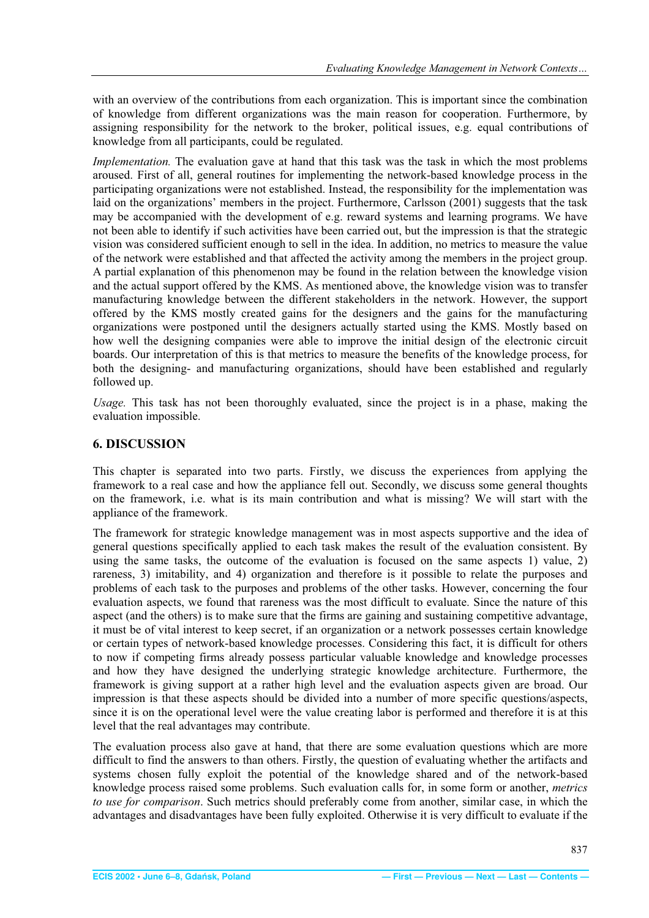<span id="page-8-0"></span>with an overview of the contributions from each organization. This is important since the combination of knowledge from different organizations was the main reason for cooperation. Furthermore, by assigning responsibility for the network to the broker, political issues, e.g. equal contributions of knowledge from all participants, could be regulated.

*Implementation*. The evaluation gave at hand that this task was the task in which the most problems aroused. First of all, general routines for implementing the network-based knowledge process in the participating organizations were not established. Instead, the responsibility for the implementation was laid on the organizations' members in the project. Furthermore, Carlsson (2001) suggests that the task may be accompanied with the development of e.g. reward systems and learning programs. We have not been able to identify if such activities have been carried out, but the impression is that the strategic vision was considered sufficient enough to sell in the idea. In addition, no metrics to measure the value of the network were established and that affected the activity among the members in the project group. A partial explanation of this phenomenon may be found in the relation between the knowledge vision and the actual support offered by the KMS. As mentioned above, the knowledge vision was to transfer manufacturing knowledge between the different stakeholders in the network. However, the support offered by the KMS mostly created gains for the designers and the gains for the manufacturing organizations were postponed until the designers actually started using the KMS. Mostly based on how well the designing companies were able to improve the initial design of the electronic circuit boards. Our interpretation of this is that metrics to measure the benefits of the knowledge process, for both the designing- and manufacturing organizations, should have been established and regularly followed up.

*Usage.* This task has not been thoroughly evaluated, since the project is in a phase, making the evaluation impossible.

#### **6. DISCUSSION**

This chapter is separated into two parts. Firstly, we discuss the experiences from applying the framework to a real case and how the appliance fell out. Secondly, we discuss some general thoughts on the framework, i.e. what is its main contribution and what is missing? We will start with the appliance of the framework.

The framework for strategic knowledge management was in most aspects supportive and the idea of general questions specifically applied to each task makes the result of the evaluation consistent. By using the same tasks, the outcome of the evaluation is focused on the same aspects 1) value, 2) rareness, 3) imitability, and 4) organization and therefore is it possible to relate the purposes and problems of each task to the purposes and problems of the other tasks. However, concerning the four evaluation aspects, we found that rareness was the most difficult to evaluate. Since the nature of this aspect (and the others) is to make sure that the firms are gaining and sustaining competitive advantage, it must be of vital interest to keep secret, if an organization or a network possesses certain knowledge or certain types of network-based knowledge processes. Considering this fact, it is difficult for others to now if competing firms already possess particular valuable knowledge and knowledge processes and how they have designed the underlying strategic knowledge architecture. Furthermore, the framework is giving support at a rather high level and the evaluation aspects given are broad. Our impression is that these aspects should be divided into a number of more specific questions/aspects, since it is on the operational level were the value creating labor is performed and therefore it is at this level that the real advantages may contribute.

The evaluation process also gave at hand, that there are some evaluation questions which are more difficult to find the answers to than others. Firstly, the question of evaluating whether the artifacts and systems chosen fully exploit the potential of the knowledge shared and of the network-based knowledge process raised some problems. Such evaluation calls for, in some form or another, *metrics to use for comparison*. Such metrics should preferably come from another, similar case, in which the advantages and disadvantages have been fully exploited. Otherwise it is very difficult to evaluate if the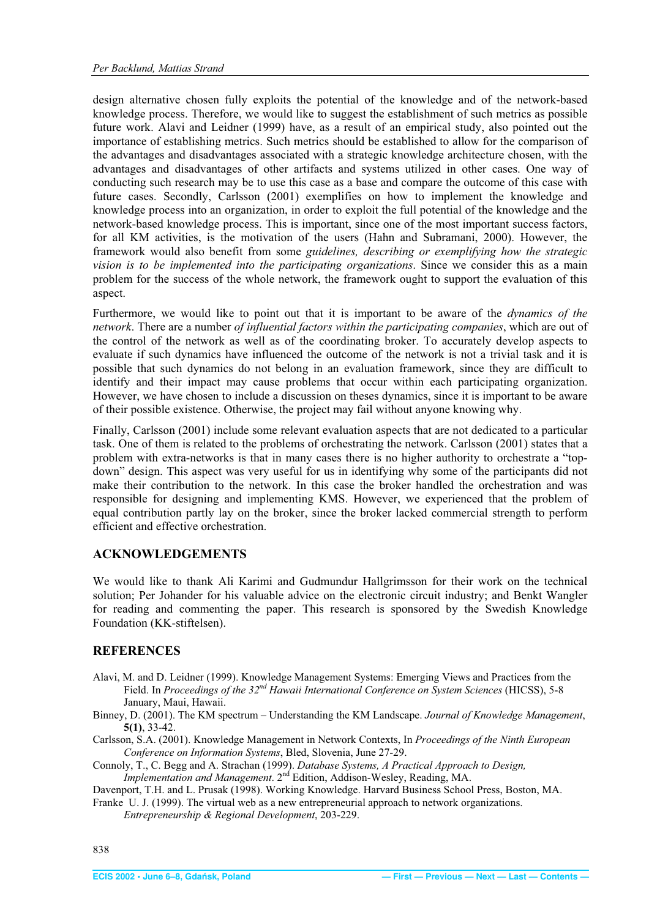<span id="page-9-0"></span>design alternative chosen fully exploits the potential of the knowledge and of the network-based knowledge process. Therefore, we would like to suggest the establishment of such metrics as possible future work. Alavi and Leidner (1999) have, as a result of an empirical study, also pointed out the importance of establishing metrics. Such metrics should be established to allow for the comparison of the advantages and disadvantages associated with a strategic knowledge architecture chosen, with the advantages and disadvantages of other artifacts and systems utilized in other cases. One way of conducting such research may be to use this case as a base and compare the outcome of this case with future cases. Secondly, Carlsson (2001) exemplifies on how to implement the knowledge and knowledge process into an organization, in order to exploit the full potential of the knowledge and the network-based knowledge process. This is important, since one of the most important success factors, for all KM activities, is the motivation of the users (Hahn and Subramani, 2000). However, the framework would also benefit from some *guidelines, describing or exemplifying how the strategic vision is to be implemented into the participating organizations*. Since we consider this as a main problem for the success of the whole network, the framework ought to support the evaluation of this aspect.

Furthermore, we would like to point out that it is important to be aware of the *dynamics of the network*. There are a number *of influential factors within the participating companies*, which are out of the control of the network as well as of the coordinating broker. To accurately develop aspects to evaluate if such dynamics have influenced the outcome of the network is not a trivial task and it is possible that such dynamics do not belong in an evaluation framework, since they are difficult to identify and their impact may cause problems that occur within each participating organization. However, we have chosen to include a discussion on theses dynamics, since it is important to be aware of their possible existence. Otherwise, the project may fail without anyone knowing why.

Finally, Carlsson (2001) include some relevant evaluation aspects that are not dedicated to a particular task. One of them is related to the problems of orchestrating the network. Carlsson (2001) states that a problem with extra-networks is that in many cases there is no higher authority to orchestrate a "topdown" design. This aspect was very useful for us in identifying why some of the participants did not make their contribution to the network. In this case the broker handled the orchestration and was responsible for designing and implementing KMS. However, we experienced that the problem of equal contribution partly lay on the broker, since the broker lacked commercial strength to perform efficient and effective orchestration.

#### **ACKNOWLEDGEMENTS**

We would like to thank Ali Karimi and Gudmundur Hallgrimsson for their work on the technical solution; Per Johander for his valuable advice on the electronic circuit industry; and Benkt Wangler for reading and commenting the paper. This research is sponsored by the Swedish Knowledge Foundation (KK-stiftelsen).

#### **REFERENCES**

- Alavi, M. and D. Leidner (1999). Knowledge Management Systems: Emerging Views and Practices from the Field. In *Proceedings of the 32nd Hawaii International Conference on System Sciences* (HICSS), 5-8 January, Maui, Hawaii.
- Binney, D. (2001). The KM spectrum Understanding the KM Landscape. *Journal of Knowledge Management*, **5(1)**, 33-42.
- Carlsson, S.A. (2001). Knowledge Management in Network Contexts, In *Proceedings of the Ninth European Conference on Information Systems*, Bled, Slovenia, June 27-29.
- Connoly, T., C. Begg and A. Strachan (1999). *Database Systems, A Practical Approach to Design, Implementation and Management*. 2<sup>nd</sup> Edition, Addison-Wesley, Reading, MA.

Davenport, T.H. and L. Prusak (1998). Working Knowledge. Harvard Business School Press, Boston, MA. Franke U. J. (1999). The virtual web as a new entrepreneurial approach to network organizations.

*Entrepreneurship & Regional Development*, 203-229.